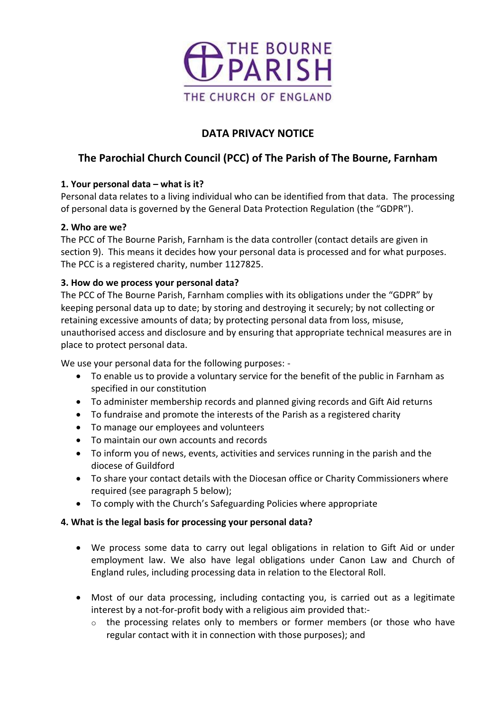

# **DATA PRIVACY NOTICE**

# **The Parochial Church Council (PCC) of The Parish of The Bourne, Farnham**

## **1. Your personal data – what is it?**

Personal data relates to a living individual who can be identified from that data. The processing of personal data is governed by the General Data Protection Regulation (the "GDPR").

## **2. Who are we?**

The PCC of The Bourne Parish, Farnham is the data controller (contact details are given in section 9). This means it decides how your personal data is processed and for what purposes. The PCC is a registered charity, number 1127825.

## **3. How do we process your personal data?**

The PCC of The Bourne Parish, Farnham complies with its obligations under the "GDPR" by keeping personal data up to date; by storing and destroying it securely; by not collecting or retaining excessive amounts of data; by protecting personal data from loss, misuse, unauthorised access and disclosure and by ensuring that appropriate technical measures are in place to protect personal data.

We use your personal data for the following purposes: -

- To enable us to provide a voluntary service for the benefit of the public in Farnham as specified in our constitution
- To administer membership records and planned giving records and Gift Aid returns
- To fundraise and promote the interests of the Parish as a registered charity
- To manage our employees and volunteers
- To maintain our own accounts and records
- To inform you of news, events, activities and services running in the parish and the diocese of Guildford
- To share your contact details with the Diocesan office or Charity Commissioners where required (see paragraph 5 below);
- To comply with the Church's Safeguarding Policies where appropriate

## **4. What is the legal basis for processing your personal data?**

- We process some data to carry out legal obligations in relation to Gift Aid or under employment law. We also have legal obligations under Canon Law and Church of England rules, including processing data in relation to the Electoral Roll.
- Most of our data processing, including contacting you, is carried out as a legitimate interest by a not-for-profit body with a religious aim provided that:-
	- $\circ$  the processing relates only to members or former members (or those who have regular contact with it in connection with those purposes); and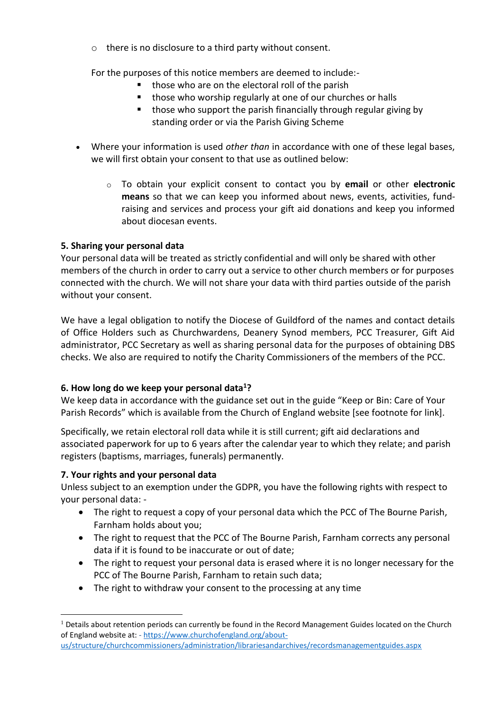o there is no disclosure to a third party without consent.

For the purposes of this notice members are deemed to include:-

- those who are on the electoral roll of the parish
- those who worship regularly at one of our churches or halls
- those who support the parish financially through regular giving by standing order or via the Parish Giving Scheme
- Where your information is used *other than* in accordance with one of these legal bases, we will first obtain your consent to that use as outlined below:
	- o To obtain your explicit consent to contact you by **email** or other **electronic means** so that we can keep you informed about news, events, activities, fundraising and services and process your gift aid donations and keep you informed about diocesan events.

### **5. Sharing your personal data**

Your personal data will be treated as strictly confidential and will only be shared with other members of the church in order to carry out a service to other church members or for purposes connected with the church. We will not share your data with third parties outside of the parish without your consent.

We have a legal obligation to notify the Diocese of Guildford of the names and contact details of Office Holders such as Churchwardens, Deanery Synod members, PCC Treasurer, Gift Aid administrator, PCC Secretary as well as sharing personal data for the purposes of obtaining DBS checks. We also are required to notify the Charity Commissioners of the members of the PCC.

### **6. How long do we keep your personal data<sup>1</sup>?**

We keep data in accordance with the guidance set out in the guide "Keep or Bin: Care of Your Parish Records" which is available from the Church of England website [see footnote for link].

Specifically, we retain electoral roll data while it is still current; gift aid declarations and associated paperwork for up to 6 years after the calendar year to which they relate; and parish registers (baptisms, marriages, funerals) permanently.

### **7. Your rights and your personal data**

Unless subject to an exemption under the GDPR, you have the following rights with respect to your personal data: -

- The right to request a copy of your personal data which the PCC of The Bourne Parish, Farnham holds about you;
- The right to request that the PCC of The Bourne Parish, Farnham corrects any personal data if it is found to be inaccurate or out of date;
- The right to request your personal data is erased where it is no longer necessary for the PCC of The Bourne Parish, Farnham to retain such data;
- The right to withdraw your consent to the processing at any time

<sup>&</sup>lt;sup>1</sup> Details about retention periods can currently be found in the Record Management Guides located on the Church of England website at: - [https://www.churchofengland.org/about](https://www.churchofengland.org/about-us/structure/churchcommissioners/administration/librariesandarchives/recordsmanagementguides.aspx)[us/structure/churchcommissioners/administration/librariesandarchives/recordsmanagementguides.aspx](https://www.churchofengland.org/about-us/structure/churchcommissioners/administration/librariesandarchives/recordsmanagementguides.aspx)